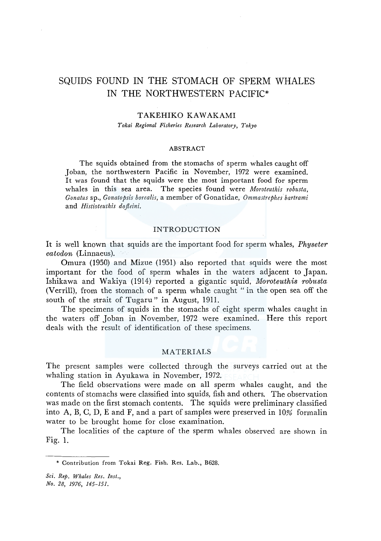# SQUIDS FOUND IN THE STOMACH OF SPERM WHALES IN THE NORTHWESTERN PACIFIC\*

# TAKEHIKO KAWAKAMI

*Tokai Regional Fisheries Research Laboratory, Tokyo* 

#### ABSTRACT

The squids obtained from the stomachs of sperm whales caught off Joban, the northwestern Pacific in November, 1972 were examined. It was found that the squids were the most important food for sperm whales in this sea area. The species found were *Moroteuthis robusta, Gonatus* sp., *Gonatopsis borealis,* a member of Gonatidae, *Ommastrephes bartrami*  and *Histioteuthis dofieini.* 

# INTRODUCTION

It is well known that squids are the important food for sperm whales, *Physeter catodon* (Linnaeus).

Omura (1950) and Mizue (1951) also reported that squids were the most important for the food of sperm whales in the waters adjacent to Japan. Ishikawa and Wakiya (1914) reported a gigantic squid, *Moroteuthis robusta*  (Verrill), from the stomach of a sperm whale caught " in the open sea off the south of the strait of Tugaru" in August, 1911.

The specimens of squids in the stomachs of eight sperm whales caught in the waters off Joban in November, 1972 were examined. Here this report deals with the result of identification of these specimens.

# MATERIALS

The present samples were collected through the surveys carried out at the whaling station in Ayukawa in November, 1972.

The field observations were made on all sperm whales caught, and the contents of stomachs were classified into squids, fish and others. The observation was made on the first stomach contents. The squids were preliminary classified into A, B, C, D, E and F, and a part of samples were preserved in 10% formalin water to be brought home for close examination.

The localities of the capture of the sperm whales observed are shown in Fig. 1.

<sup>\*</sup> Contribution from Tokai Reg. Fish. Res. Lab., B628.

*Sci. Rep. Whales Res. Inst., No. 28, 1976, 145-151.*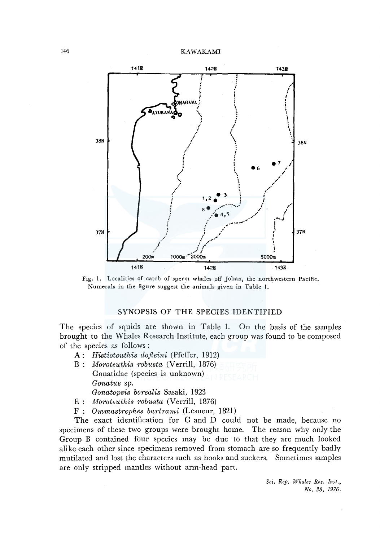

Fig. 1. Localities of catch of sperm whales off Joban, the northwestern Pacific. Numerals in the figure suggest the animals given in Table !.

# SYNOPSIS OF THE SPECIES IDENTIFIED

The species of squids are shown in Table I. On the basis of the samples brought to the Whales Research Institute, each group was found to be composed of the species as follows :

- A: *Histioteuthis dofleini* (Pfeffer, 1912)
- B : *Moroteuthis robusta* (Verrill, 1876) Gonatidae (species is unknown) *Gonatus* sp. *Gonatopsis borealis* Sasaki, 1923
- E : *Moroteuthis robusta* (Verrill, 1876)
- F : *Ommastrephes bartrami* (Lesueur, 1821)

The exact identification for C and D could not be made, because no specimens of these two groups were brought home. The reason why only the Group B contained four species may be due to that they are much looked alike each other since specimens removed from stomach are so frequently badly mutilated and lost the characters such as hooks and suckers. Sometimes samples are only stripped mantles without arm-head part.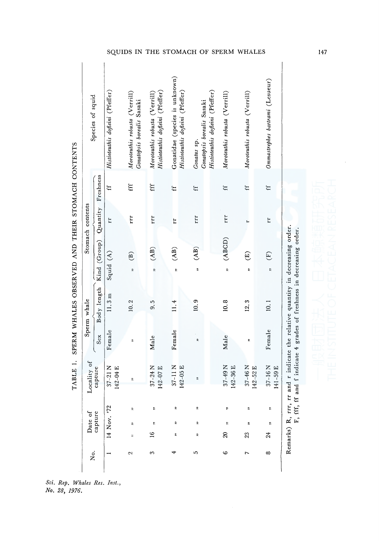TABLE 1. SPERM WHALES OBSERVED AND THEIR STOMACH CONTENTS TABLE I. SPERM WHALES OBSERVED AND THEIR STOMACH CONTENTS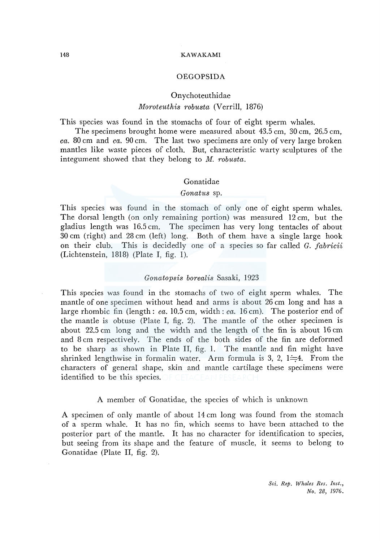#### 148 KAWAKAMI

### OEGOPSIDA

# Onychoteuthidae

# *Moroteuthis robusta* (Verrill, 1876)

This species was found in the stomachs of four of eight sperm whales.

The specimens brought home were measured about 43.5 cm, 30 cm, 26.5 cm, *ea.* 80 cm and *ea.* 90 cm. The last two specimens are only of very large broken mantles like waste pieces of cloth. But, characteristic warty sculptures of the integument showed that they belong to *M. robusta.* 

# Gonatidae

### *Gonatus* sp.

This species was found in the stomach of only one of eight sperm whales. The dorsal length (on only remaining portion) was measured 12 cm, but the gladius length was 16.5 cm. The specimen has very long tentacles of about 30 cm (right) and 28 cm (left) long. Both of them have a single large hook on their club. This is decidedly one of a species so far called *G. fabrieii*   $(Lichtenstein, 1818)$  (Plate I, fig. 1).

### *Gonatopsis borealis* Sasaki, 1923

This species was found in the stomachs of two of eight sperm whales. The mantle of one specimen without head and arms is about 26 cm long and has a large rhombic fin (length: *ea.* 10.5 cm, width: *ea.* 16 cm). The posterior end of the mantle is obtuse (Plate I, fig. 2). The mantle of the other specimen is about 22.5 cm long and the width and the length of the fin is about 16 cm and 8 cm respectively. The ends of the both sides of the fin are deformed to be sharp as shown in Plate II, fig. I. The mantle and fin might have shrinked lengthwise in formalin water. Arm formula is 3, 2,  $1 = 4$ . From the characters of general shape, skin and mantle cartilage these specimens were identified to be this species.

# A member of Gonatidae, the species of which is unknown

A specimen of only mantle of about 14 cm long was found from the stomach of a sperm whale. It has no fin, which seems to have been attached to the posterior part of the mantle. It has no character for identification to species, but seeing from its shape and the feature of muscle, it seems to belong to Gonatidae (Plate II, fig. 2).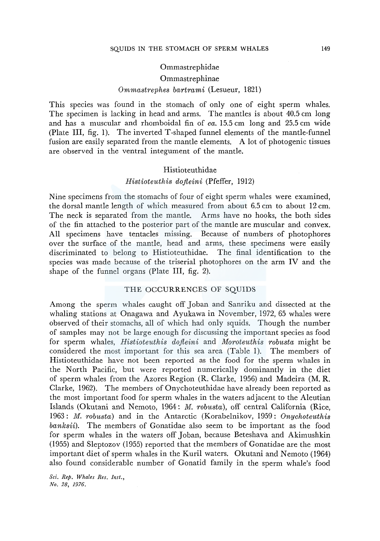# Ommastrephidae

# Ommastrephinae

# *Ommastrephes bartrami* (Lesueur, 1821)

This species was found in the stomach of only one of eight sperm whales. The specimen is lacking in head and arms. The mantles is about 40.5 cm long and has a muscular and rhomboidal fin of *ea.* 15.5 cm long and 25.5 cm wide (Plate III, fig. 1). The inverted T-shaped funnel elements of the mantle-funnel fusion are easily separated from the mantle elements. A lot of photogenic tissues are observed in the ventral integument of the mantle.

### Histioteuthidae

# *Histioteuthis dofieini* (Pfeffer, 1912)

Nine specimens from the stomachs of four of eight sperm whales were examined, the dorsal mantle length of which measured from about 6.5 cm to about 12 cm. The neck is separated from the mantle. Arms have no hooks, the both sides of the fin attached to the posterior part of the mantle are muscular and convex. All specimens have tentacles missing. Because of numbers of photophores over the surface of the mantle, head and arms, these specimens were easily discriminated to belong to Histioteuthidae. The final identification to the species was made because of the triserial photophores on the arm IV and the shape of the funnel organs (Plate III, fig. 2).

### THE OCCURRENCES OF SQUIDS

Among the sperm whales caught off Joban and Sanriku and dissected at the whaling stations at Onagawa and Ayukawa in November, 1972, 65 whales were observed of their stomachs, all of which had only squids. Though the number of samples may not be large enough for discussing the important species as food for sperm whales, *Histioteuthis dofieini* and *Moroteuthis robusta* might be considered the most important for this sea area (Table 1). The members of Histioteuthidae have not been reported as the food for the sperm whales in the North Pacific, but were reported numerically dominantly in the diet of sperm whales from the Azores Region (R. Clarke, 1956) and Madeira (M. R. Clarke, 1962). The members of Onychoteuthidae have already been reported as the most important food for sperm whales in the waters adjacent to the Aleutian Islands (Okutani and Nemoto, 1964: *M. robusta),* off central California (Rice, 1963: *M. robusta)* and in the Antarctic (Korabelnikov, 1959: *Onychoteuthis banksii).* The members of Gonatidae also seem to be important as the food for sperm whales in the waters off Joban, because Beteshava and Akimushkin (1955) and Sleptozov (1955) reported that the members of Gonatidae are the most important diet of sperm whales in the Kuril waters. Okutani and Nemoto (1964) also found considerable number of Gonatid family in the sperm whale's food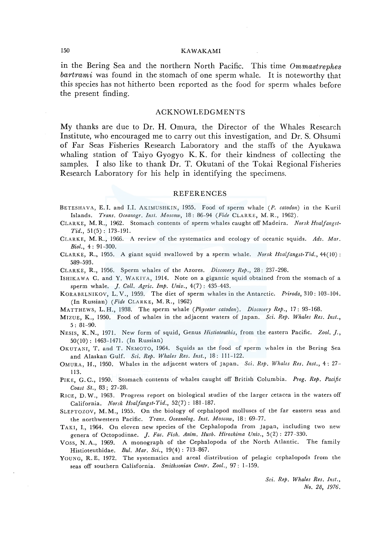# 150 KAWAKAMI

in the Bering Sea and the northern North Pacific. This time *Ommastrephes bartrami* was found in the stomach of one sperm whale. It is noteworthy that this species has not hitherto been reported as the food for sperm whales before the present finding.

#### ACKNOWLEDGMENTS

My thanks are due to Dr. H. Omura, the Director of the Whales Research Institute, who encouraged me to carry out this investigation, and Dr. S. Ohsumi of Far Seas Fisheries Research Laboratory and the staffs of the Ayukawa whaling station of Taiyo Gyogyo K. K. for their kindness of collecting the samples. I also like to thank Dr. T. Okutani of the Tokai Regional Fisheries Research Laboratory for his help in identifying the specimens.

#### **REFERENCES**

- BETESHAVA, E. I. and I.I. AKIMUSHKIN, 1955. Food of sperm whale (P. *catodon)* in the Kuril Islands. *Trans. Oceanogr. Inst. Moscow,* 18: 86-94 *(Fide* CLARKE, M. R., 1962).
- CLARKE, M. R., 1962. Stomach contents of sperm whales caught off Madeira. *Norsk Hvalfangst-Tid.,* 51 (5) : 173-191.
- CLARKE, M. R., 1966. A review of the systematics and ecology of oceanic squids. *Adv. Mar. Biol.,* 4: 91-300.
- CLARKE, R., 1955. A giant squid swallowed by a sperm whale. *Norsk Hvaljangst-Tid.,* 44(10): 589-593.

CLARKE, R., 1956. Sperm whales of the Azores. *Discovery Rep.,* 28: 237-298.

- ISHIKAWA C. and Y. WAKIYA, 1914. Note on a gigantic squid obtained from the stomach of a sperm whale. J. *Coll. Agric. Imp. Univ.,* 4(7) : 435-443.
- KORABELNIKOV, L. V., 1959. The diet of sperm whales in the Antarctic. *Priroda,* 310: 103-104. (In Russian) *(Fide* CLARKE, M. R., 1962)
- MATTHEWS, L.H., 1938. The sperm whale *(Physeter catodon). Discovery Rep.,* 17: 93-168.
- MIZUE, K., 1950. Food of whales in the adjacent waters of Japan. *Sci. Rep. Whales Res. Inst.,*  5: 81-90.
- NESIS, K. N., 1971. New form of squid, Genus *Histioteuthis,* from the eastern Pacific. *Zool.* J., 50(10): 1463-1471. (In Russian)
- OKUTANI, T. and T. NEMOTO, 1964. Squids as the food of sperm whales in the Bering Sea and Alaskan Gulf. *Sci. Rep. Whales Res. Inst.,* 18: 111-122.
- OMURA, H., 1950. Whales in the adjacent waters of Japan. *Sci. Rep. Whales Res. Inst.,* 4: 27- 113.
- PIKE, G. C., 1950. Stomach contents of whales caught off British Columbia. *Prog. Rep. Pacific Coast St.,* 83; 27-28.
- RICE, D. W., 1963. Progress report on biological studies of the larger cetacea in the waters off California. *Norsk Hvalfangst-Tid.,* 52(7): 181-187.
- SLEPTOZOV, M. M., 1955. On the biology of cephalopod molluscs of the far eastern seas and the northwestern Pacific. *Trans. Oceanolog. Inst. Moscow,* 18: 69-77.
- TAKI, I., 1964. On eleven new species of the Cephalopoda from Japan, including two new genera of Octopodinae. J. *Fae. Fish. Anim. Hush. Hiroshima Univ.,* 5(2): 277-330.
- Voss, N. A., 1969. A monograph of the Cephalopoda of the North Atlantic. The family Histioteuthidae. *Bui. Mar. Sci.,* 19(4): 713-867.
- YOUNG, R.E. 1972. The systematics and areal distribution of pelagic cephalopods from the seas off southern Calisfornia. *Smithsonian Contr. Zool.,* 97: 1-159.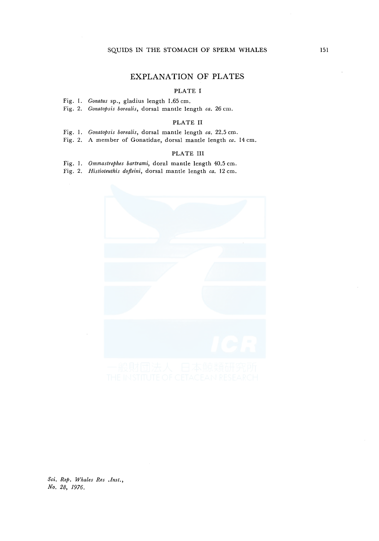# **EXPLANATION OF PLATES**

# PLATE I

Fig. I. *Gonatus* sp., gladius length 1.65 cm.

Fig. 2. *Gonatopsis borealis,* dorsal mantle length *ea.* 26 cm.

#### PLATE II

- Fig. I. *Gonatopsis borealis,* dorsal mantle length *ea.* 22.5 cm.
- Fig. 2. A member of Gonatidae, dorsal mantle length *ea.* 14 cm.

### PLATE III

Fig. I. *Ommastrephes bartrami,* doral mantle length 40.5 cm.

Fig. 2. *Histioteuthis dojleini,* dorsal mantle length *ea.* 12 cm.

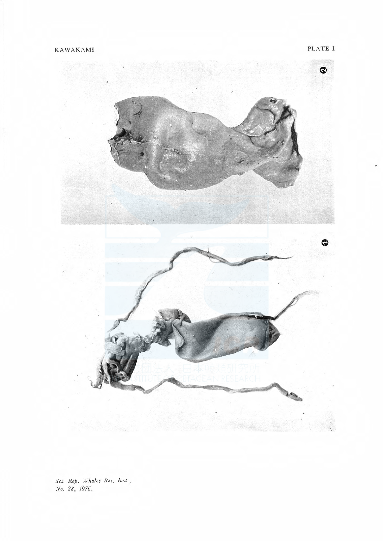PLATE I

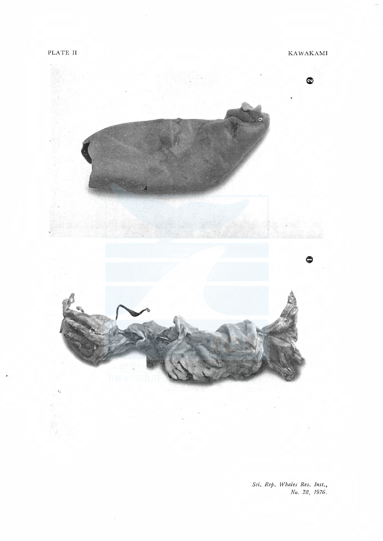